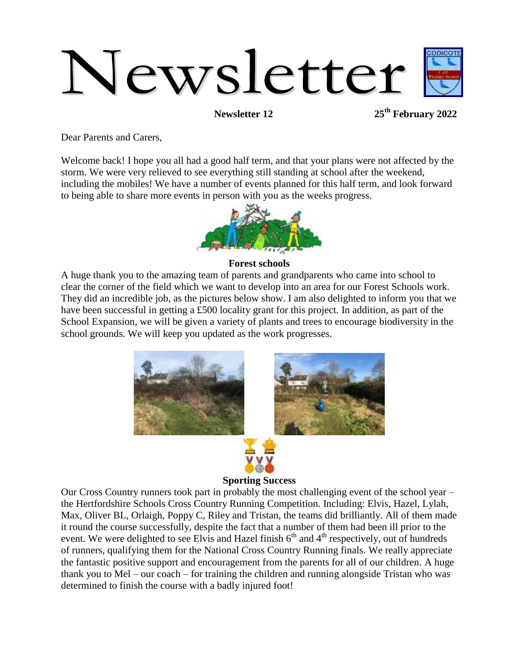# Newsletter

**Newsletter 12 25th February 2022**

Dear Parents and Carers,

Welcome back! I hope you all had a good half term, and that your plans were not affected by the storm. We were very relieved to see everything still standing at school after the weekend, including the mobiles! We have a number of events planned for this half term, and look forward to being able to share more events in person with you as the weeks progress.



## **Forest schools**

A huge thank you to the amazing team of parents and grandparents who came into school to clear the corner of the field which we want to develop into an area for our Forest Schools work. They did an incredible job, as the pictures below show. I am also delighted to inform you that we have been successful in getting a £500 locality grant for this project. In addition, as part of the School Expansion, we will be given a variety of plants and trees to encourage biodiversity in the school grounds. We will keep you updated as the work progresses.



# Our Cross Country runners took part in probably the most challenging event of the school year – the Hertfordshire Schools Cross Country Running Competition. Including: Elvis, Hazel, Lylah, Max, Oliver BL, Orlaigh, Poppy C, Riley and Tristan, the teams did brilliantly. All of them made it round the course successfully, despite the fact that a number of them had been ill prior to the event. We were delighted to see Elvis and Hazel finish  $6<sup>th</sup>$  and  $4<sup>th</sup>$  respectively, out of hundreds of runners, qualifying them for the National Cross Country Running finals. We really appreciate the fantastic positive support and encouragement from the parents for all of our children. A huge thank you to Mel – our coach – for training the children and running alongside Tristan who was determined to finish the course with a badly injured foot!

**Sporting Success**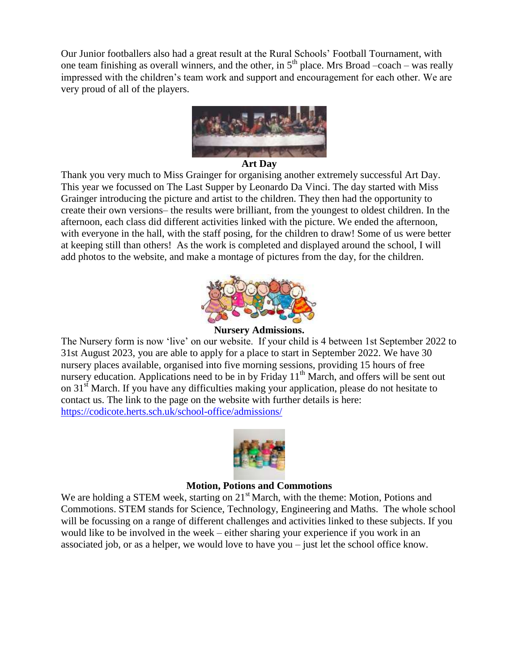Our Junior footballers also had a great result at the Rural Schools' Football Tournament, with one team finishing as overall winners, and the other, in  $5<sup>th</sup>$  place. Mrs Broad –coach – was really impressed with the children's team work and support and encouragement for each other. We are very proud of all of the players.



### **Art Day**

Thank you very much to Miss Grainger for organising another extremely successful Art Day. This year we focussed on The Last Supper by Leonardo Da Vinci. The day started with Miss Grainger introducing the picture and artist to the children. They then had the opportunity to create their own versions– the results were brilliant, from the youngest to oldest children. In the afternoon, each class did different activities linked with the picture. We ended the afternoon, with everyone in the hall, with the staff posing, for the children to draw! Some of us were better at keeping still than others! As the work is completed and displayed around the school, I will add photos to the website, and make a montage of pictures from the day, for the children.



## **Nursery Admissions.**

The Nursery form is now 'live' on our website. If your child is 4 between 1st September 2022 to 31st August 2023, you are able to apply for a place to start in September 2022. We have 30 nursery places available, organised into five morning sessions, providing 15 hours of free nursery education. Applications need to be in by Friday  $11<sup>th</sup>$  March, and offers will be sent out on 31<sup>st</sup> March. If you have any difficulties making your application, please do not hesitate to contact us. The link to the page on the website with further details is here:

<https://codicote.herts.sch.uk/school-office/admissions/>



### **Motion, Potions and Commotions**

We are holding a STEM week, starting on  $21<sup>st</sup>$  March, with the theme: Motion, Potions and Commotions. STEM stands for Science, Technology, Engineering and Maths. The whole school will be focussing on a range of different challenges and activities linked to these subjects. If you would like to be involved in the week – either sharing your experience if you work in an associated job, or as a helper, we would love to have you – just let the school office know.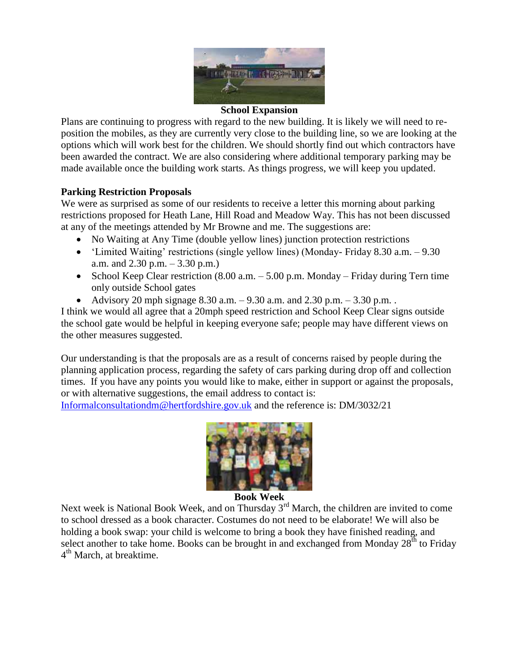

### **School Expansion**

Plans are continuing to progress with regard to the new building. It is likely we will need to reposition the mobiles, as they are currently very close to the building line, so we are looking at the options which will work best for the children. We should shortly find out which contractors have been awarded the contract. We are also considering where additional temporary parking may be made available once the building work starts. As things progress, we will keep you updated.

# **Parking Restriction Proposals**

We were as surprised as some of our residents to receive a letter this morning about parking restrictions proposed for Heath Lane, Hill Road and Meadow Way. This has not been discussed at any of the meetings attended by Mr Browne and me. The suggestions are:

- No Waiting at Any Time (double yellow lines) junction protection restrictions
- 'Limited Waiting' restrictions (single yellow lines) (Monday- Friday 8.30 a.m. 9.30 a.m. and 2.30 p.m. – 3.30 p.m.)
- School Keep Clear restriction  $(8.00 \text{ a.m.} 5.00 \text{ p.m.}$  Monday Friday during Tern time only outside School gates
- Advisory 20 mph signage 8.30 a.m.  $-9.30$  a.m. and 2.30 p.m.  $-3.30$  p.m..

I think we would all agree that a 20mph speed restriction and School Keep Clear signs outside the school gate would be helpful in keeping everyone safe; people may have different views on the other measures suggested.

Our understanding is that the proposals are as a result of concerns raised by people during the planning application process, regarding the safety of cars parking during drop off and collection times. If you have any points you would like to make, either in support or against the proposals, or with alternative suggestions, the email address to contact is:

[Informalconsultationdm@hertfordshire.gov.uk](mailto:Informalconsultationdm@hertfordshire.gov.uk) and the reference is: DM/3032/21



**Book Week**

Next week is National Book Week, and on Thursday  $3<sup>rd</sup>$  March, the children are invited to come to school dressed as a book character. Costumes do not need to be elaborate! We will also be holding a book swap: your child is welcome to bring a book they have finished reading, and select another to take home. Books can be brought in and exchanged from Monday  $28^{\text{th}}$  to Friday 4<sup>th</sup> March, at breaktime.